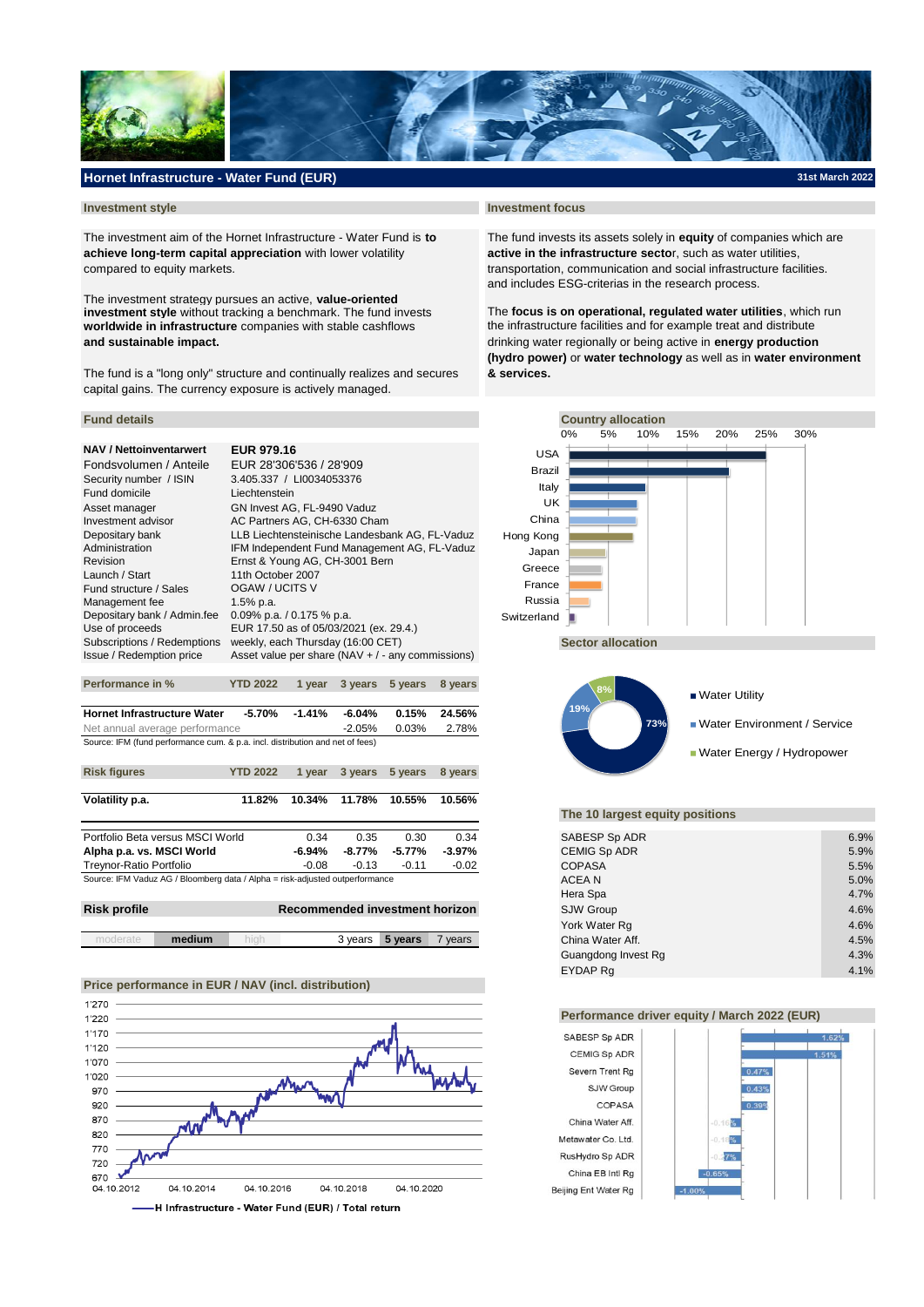

# **Hornet Infrastructure - Water Fund (EUR)**

The investment aim of the Hornet Infrastructure - Water Fund is **to** The fund invests its assets solely in **equity** of companies which are **achieve long-term capital appreciation** with lower volatility **active in the infrastructure secto**r, such as water utilities, compared to equity markets. the stransportation, communication and social infrastructure facilities.

**worldwide in infrastructure** companies with stable cashflows the infrastructure facilities and for example treat and distribute The investment strategy pursues an active, **value-oriented investment style** without tracking a benchmark. The fund invests

The fund is a "long only" structure and continually realizes and secures **& services.** capital gains. The currency exposure is actively managed.

# **NAV / Nettoinventarwert EUR 979.16**

| Fondsvolumen / Anteile      | EUR 28'306'536 / 28'909                              |
|-----------------------------|------------------------------------------------------|
| Security number / ISIN      | 3.405.337 / LI0034053376                             |
| Fund domicile               | Liechtenstein                                        |
| Asset manager               | GN Invest AG, FL-9490 Vaduz                          |
| Investment advisor          | AC Partners AG, CH-6330 Cham                         |
| Depositary bank             | LLB Liechtensteinische Landesbank AG, FL-Vaduz       |
| Administration              | IFM Independent Fund Management AG, FL-Vaduz         |
| Revision                    | Ernst & Young AG, CH-3001 Bern                       |
| Launch / Start              | 11th October 2007                                    |
| Fund structure / Sales      | OGAW / UCITS V                                       |
| Management fee              | $1.5%$ p.a.                                          |
| Depositary bank / Admin.fee | 0.09% p.a. $/$ 0.175 % p.a.                          |
| Use of proceeds             | EUR 17.50 as of 05/03/2021 (ex. 29.4.)               |
| Subscriptions / Redemptions | weekly, each Thursday (16:00 CET)                    |
| Issue / Redemption price    | Asset value per share ( $NAV + / -$ any commissions) |
|                             |                                                      |

| <b>Hornet Infrastructure Water</b>                                            |           | -5.70% -1.41% | -6.04% | $0.15\%$ 24.56% |  |  |  |
|-------------------------------------------------------------------------------|-----------|---------------|--------|-----------------|--|--|--|
| Net annual average performance                                                | $-2.05\%$ | 0.03%         | 2.78%  |                 |  |  |  |
| Source: IFM (fund performance cum. & p.a. incl. distribution and net of fees) |           |               |        |                 |  |  |  |

**Performance in % YTD 2022 1 year 3 years 5 years 8 years**

| <b>Risk figures</b>                                                          | <b>YTD 2022</b> | 1 vear  |         | 3 years 5 years | 8 years |
|------------------------------------------------------------------------------|-----------------|---------|---------|-----------------|---------|
| Volatility p.a.                                                              | 11.82%          | 10.34%  | 11.78%  | 10.55%          | 10.56%  |
|                                                                              |                 |         |         |                 |         |
| Portfolio Beta versus MSCI World                                             |                 | 0.34    | 0.35    | 0.30            | 0.34    |
| Alpha p.a. vs. MSCI World                                                    |                 | -6.94%  | -8.77%  | -5.77%          | -3.97%  |
| Treynor-Ratio Portfolio                                                      |                 | $-0.08$ | $-0.13$ | $-0.11$         | $-0.02$ |
| Source: IFM Vaduz AG / Bloomberg data / Alpha = risk-adjusted outperformance |                 |         |         |                 |         |

| <b>Risk profile</b><br>Recommended investment horizon |        |  |          |         | <b>SJW Group</b> | 4.6%            |      |
|-------------------------------------------------------|--------|--|----------|---------|------------------|-----------------|------|
|                                                       |        |  |          |         |                  | York Water Rq   | 4.6% |
|                                                       | medium |  | ≀veare } | 5 years | $'$ vears        | Ching Water Aff | 150/ |

# **Price performance in EUR / NAV (incl. distribution)**



#### **Investment style Investment focus**

and includes ESG-criterias in the research process.

The **focus is on operational, regulated water utilities**, which run **and sustainable impact.** drinking water regionally or being active in **energy production (hydro power)** or **water technology** as well as in **water environment** 





### **The 10 largest equity positions**

| rtfolio Beta versus MSCI World                                             | 0.34    | 0.35      | 0.30    | 0.34    | SABESP Sp ADR       | 6.9% |
|----------------------------------------------------------------------------|---------|-----------|---------|---------|---------------------|------|
| pha p.a. vs. MSCI World                                                    | -6.94%  | -8.77%    | -5.77%  | -3.97%  | <b>CEMIG Sp ADR</b> | 5.9% |
| eynor-Ratio Portfolio                                                      | $-0.08$ | $-0.13$   | $-0.11$ | $-0.02$ | <b>COPASA</b>       | 5.5% |
| urce: IFM Vaduz AG / Bloomberg data / Alpha = risk-adjusted outperformance |         |           |         |         | ACEA N              | 5.0% |
|                                                                            |         |           |         |         | Hera Spa            | 4.7% |
| sk profile<br>Recommended investment horizon                               |         | SJW Group | 4.6%    |         |                     |      |
|                                                                            |         |           |         |         | York Water Rq       | 4.6% |
| medium<br>hiah<br>moderate                                                 |         | 3 years   | 5 years | 7 years | China Water Aff.    | 4.5% |
|                                                                            |         |           |         |         | Guangdong Invest Rg | 4.3% |
|                                                                            |         |           |         |         | EYDAP Ra            | 4.1% |

#### **Performance driver equity / March 2022 (EUR)**